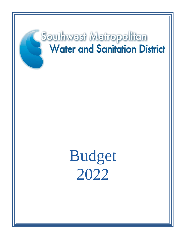# Southwest Metropolitan **Water and Sanitation District**

Budget 2022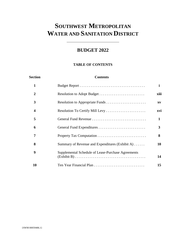## **BUDGET 2022**

## **TABLE OF CONTENTS**

| Section          | <b>Contents</b>                                    |      |
|------------------|----------------------------------------------------|------|
| 1                |                                                    | i    |
| $\mathbf{2}$     | Resolution to Adopt Budget                         | xiii |
| 3                |                                                    | XV   |
| 4                | Resolution To Certify Mill Levy                    | xvi  |
| 5                |                                                    | 1    |
| 6                | General Fund Expenditures                          | 3    |
| 7                |                                                    | 8    |
| 8                | Summary of Revenue and Expenditures (Exhibit A)    | 10   |
| $\boldsymbol{9}$ | Supplemental Schedule of Lease-Purchase Agreements | 14   |
| 10               |                                                    | 15   |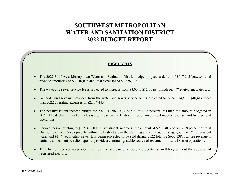## **SOUTHWEST METROPOLITAN WATER AND SANITATION DISTRICT 2022 BUDGET REPORT**

## **HIGHLIGHTS**

- 0 The 2022 Southwest Metropolitan Water and Sanitation District budget projects a deficit of \$617,965 between total revenue amounting to \$3,010,038 and total expenses of \$3,628,003.
- $\bullet$ The water and sewer service fee is projected to increase from \$8.00 to \$12.00 per month per  $\frac{3}{4}$  equivalent water tap.
- 0 General Fund revenue provided from the water and sewer service fee is projected to be \$2,214,860, \$40,417 more than 2022 operating expenses of \$2,174,443.
- $\bullet$  The net investment income budget for 2022 is \$98,930, \$22,890 or 18.8 percent less than the amount budgeted in 2021. The decline in market yields is significant as the District relies on investment income to offset and fund general operations.
- 0 Service fees amounting to \$2,214,860 and investment income in the amount of \$98,930 produce 76.9 percent of total District revenue. Developments within the District are in the planning and construction stages, with 67 ¼" equivalent water and 91 <sup>3</sup>/4" equivalent sewer taps being projected to be sold during 2022 totaling \$607,138. Tap fee revenue is variable and cannot be relied upon to provide a continuing, stable source of revenue for future District operations.
- $\bullet$  The District receives no property tax revenue and cannot impose a property tax mill levy without the approval of registered electors.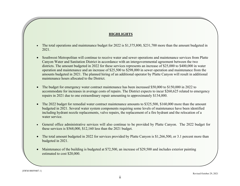## **HIGHLIGHTS**

- $\bullet$  The total operations and maintenance budget for 2022 is \$1,375,800, \$231,700 more than the amount budgeted in 2021.
- $\bullet$  Southwest Metropolitan will continue to receive water and sewer operations and maintenance services from Platte Canyon Water and Sanitation District in accordance with an intergovernmental agreement between the two districts. The amount budgeted in 2022 for these services represents an increase of \$25,000 to \$400,000 in water operation and maintenance and an increase of \$25,500 to \$298,000 in sewer operation and maintenance from the amounts budgeted in 2021. The planned hiring of an additional operator by Platte Canyon will result in additional maintenance hours allocated to the District.
- O The budget for emergency water contract maintenance has been increased \$50,000 to \$150,000 in 2022 to accommodate for increases in average costs of repairs. The District expects to incur \$260,625 related to emergency repairs in 2021 due to one extraordinary repair amounting to approximately \$134,000.
- $\bullet$  The 2022 budget for remedial water contract maintenance amounts to \$325,500, \$160,000 more than the amount budgeted in 2021. Several water system components requiring some levels of maintenance have been identified including hydrant nozzle replacements, valve repairs, the replacement of a fire hydrant and the relocation of a water service.
- $\bullet$  General office administrative services will also continue to be provided by Platte Canyon. The 2022 budget for these services is \$568,000, \$12,160 less than the 2021 budget.
- $\bullet$  The total amount budgeted in 2022 for services provided by Platte Canyon is \$1,266,500, or 3.1 percent more than budgeted in 2021.
- $\bullet$  Maintenance of the building is budgeted at \$72,500, an increase of \$29,500 and includes exterior painting estimated to cost \$20,000.

{SWM 00059407.1}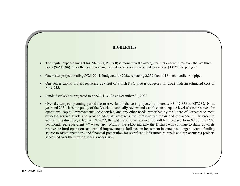## **HIGHLIGHTS HIGHLIGHTS**

- The capital expense budget for  $2022$  (\$1,453,560) is more than the average capital expenditures over the last three Southwest metropolitan will continue to receive water and sewer operations and maintenance services from Platte  $\bullet$ years (\$464,186). Over the next ten years, capital expenses are projected to average \$1,025,736 per year.
- One water project totaling \$925,201 is budgeted for 2022, replacing 2,239 feet of 16-inch ductile iron pipe. distribution budgeted in  $2017$  for the amount budgeted increase from the amount budgeted in  $2017$  $\bullet$
- One sewer capital project replacing 227 feet of 8-inch PVC pipe is budgeted for 2022 with an estimated cost of The total operations and maintenance budget for 2017 is 953,400, \$48,200 less than the amount budgeted in 2017  $\bullet$ \$146,735.
- Funds Available is projected to be \$24,113,726 at December 31, 2022.  $\bullet$
- Over the ten-year planning period the reserve fund balance is projected to increase \$3,118,378 to \$27,232,104 at operations, capital improvements, debt service, and any other needs prescribed by the Board of Directors to meet expected service levels and provide adequate resources for infrastructure repair and replacement. In order to per month, per equivalent 3/4" water tap. Without the \$4.00 increase the District will continue to draw down its reserves to fund operations and capital improvements. Reliance on investment income is no longer a viable funding source to offset operations and financial preparation for significant infrastructure repair and replacements projects The capital expense budget for 2017 (\$726,023) is well below average capital expenditures over the last three y  $\bullet$ year end 2031. It is the policy of the District to annually review and establish an adequate level of cash reserves for achieve this directive, effective 1/1/2022, the water and sewer service fee will be increased from \$8.00 to \$12.00 scheduled over the next ten years is necessary.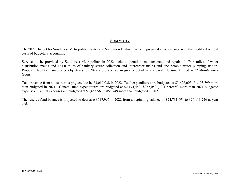## **SUMMARY**

The 2022 Budget for Southwest Metropolitan Water and Sanitation District has been prepared in accordance with the modified accrual basis of budgetary accounting.

Services to be provided by Southwest Metropolitan in 2022 include operation, maintenance, and repair of 174.6 miles of water distribution mains and 164.0 miles of sanitary sewer collection and interceptor mains and one potable water pumping station. Proposed facility maintenance objectives for 2022 are described in greater detail in a separate document titled *2022 Maintenance Goals*.

Total revenue from all sources is projected to be \$3,010,038 in 2022. Total expenditures are budgeted at \$3,628,003, \$1,103,799 more than budgeted in 2021. General fund expenditures are budgeted at \$2,174,443, \$252,050 (13.1 percent) more than 2021 budgeted expenses. Capital expenses are budgeted at \$1,453,560, \$851,749 more than budgeted in 2021.

The reserve fund balance is projected to decrease \$617,965 in 2022 from a beginning balance of \$24,731,691 to \$24,113,726 at year end.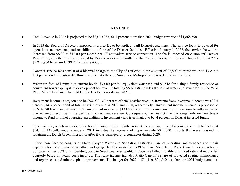## **REVENUE**

- $\bullet$ Total Revenue in 2022 is projected to be \$3,010,038, 61.1 percent more than 2021 budget revenue of \$1,868,590.
- $\bullet$  In 2015 the Board of Directors imposed a service fee to be applied to all District customers. The service fee is to be used for operations, maintenance, and rehabilitation of the of the District facilities. Effective January 1, 2022, the service fee will be increased from \$8.00 to \$12.00 per month per ¾" equivalent service connection. The fee is imposed on customers' Denver Water bills, with the revenue collected by Denver Water and remitted to the District. Service fee revenue budgeted for 2022 is \$2,214,860 based on 15,381<sup>3</sup>/4" equivalent taps.
- $\bullet$  Contract service fees consist of a biennial charge to the City of Littleton in the amount of \$7,500 to transport up to 13 cubic feet per second of wastewater flow from the City through Southwest Metropolitan's A & D line interceptors.
- $\bullet$ Water tap fees will remain at current levels; \$7,000 per 3/4" equivalent water tap and \$1,518 for a single family residence or equivalent sewer tap. System development fee revenue totaling \$607,138 includes the sale of water and sewer taps in the Wild Plum, Silver Leaf and Chatfield Bluffs developments during 2022.
- $\bullet$  Investment income is projected to be \$98,930, 3.3 percent of total District revenue. Revenue from investment income was 22.5 percent, 14.3 percent and of total District revenue in 2019 and 2020, respectively. Investment income revenue is proposed to be \$34,570 less than estimated 2021 investment income of \$133,500. Recent economic conditions have significantly impacted market yields resulting in the decline in investment revenue. Consequently, the District may no longer rely on investment income to fund or offset operating expenditures. Investment yield is estimated to be .4 percent on District invested funds.
- $\bullet$  Other income, which includes office lease income, capital reimbursement income, and miscellaneous income, is budgeted at \$74,110. Miscellaneous revenue in 2021 includes the recovery of approximately \$342,000 in costs that were incurred in repairing the Dutch Creek Interceptor after it was damaged by a contractor during 2020.

Office lease income consists of Platte Canyon Water and Sanitation District's share of operating, maintenance and repair expenses for the administrative office and garage facility located at 8739 W. Coal Mine Ave. Platte Canyon is contractually obligated to pay 30% of all building costs to Southwest Metropolitan. Costs are billed monthly at a fixed rate and reconciled quarterly based on actual costs incurred. The lease income includes Platte Canyon's share of projected routine maintenance and repair costs and minor capital improvements. The budget for 2022 is \$34,110, \$24,840 less than the 2021 budget amount.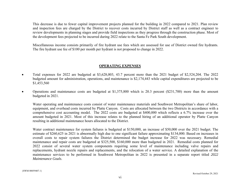This decrease is due to fewer capital improvement projects planned for the building in 2022 compared to 2021. Plan review and inspection fees are charged by the District to recover costs incurred by District staff as well as a contract engineer to review developments in planning stages and provide field inspections as they progress through the construction phase. Most of the development fees projected to be incurred during 2022 relate to the Santa Fe Park South development.

Miscellaneous income consists primarily of fire hydrant use fees which are assessed for use of District owned fire hydrants. The fire hydrant use fee of \$100 per month per hydrant is not proposed to change in 2022.

## **OPERATING EXPENSES**

- . Total expenses for 2022 are budgeted at \$3,628,003, 43.7 percent more than the 2021 budget of \$2,524,204. The 2022 budgeted amount for administration, operations, and maintenance is \$2,174,443 while capital expenditures are projected to be \$1,453,560
- $\bullet$  Operations and maintenance costs are budgeted at \$1,375,800 which is 20.3 percent (\$231,700) more than the amount budgeted in 2021.

Water operating and maintenance costs consist of water maintenance materials and Southwest Metropolitan's share of labor, equipment, and overhead costs incurred by Platte Canyon. Costs are allocated between the two Districts in accordance with a comprehensive cost accounting model. The 2022 costs are budgeted at \$400,000 which reflects a 6.7% increase over the amount budgeted in 2021. Most of this increase relates to the planned hiring of an additional operator by Platte Canyon resulting in additional maintenance hours allocated to the District.

Water contract maintenance for system failures is budgeted at \$150,000, an increase of \$50,000 over the 2021 budget. The estimate of \$260,625 in 2021 is abnormally high due to one significant failure approximating \$134,000. Based on increases in overall costs to repair system failures the District determined the budget increase for 2022 was necessary. Remedial maintenance and repair costs are budgeted at \$325,500, \$160,000 more than budgeted in 2021. Remedial costs planned for 2022 consist of several water system components requiring some level of maintenance including valve repairs and replacements, hydrant nozzle repairs and replacements, and the relocation of a water service. A detailed explanation of the maintenance services to be performed in Southwest Metropolitan in 2022 is presented in a separate report titled *2022 Maintenance Goals*.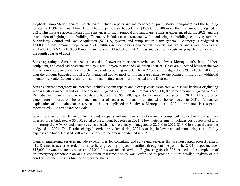Hogback Pump Station general maintenance includes repairs and maintenance of pump station equipment and the building located at 13399 W. Coal Mine Ave. These expenses are budgeted at \$17,500, \$8,500 more than the amount budgeted in 2021. This increase accommodates more instances of snow removal and landscape repairs as experienced during 2021, and the installation of lighting at the building. Telemetry includes costs associated with monitoring the building security system, the Supervisory Control and Data Acquisition (SCADA) system, and pump station alarm system. Telemetry is budgeted at \$5,000, the same amount budgeted in 2021. Utilities include costs associated with electric, gas, water, and sewer services and are budgeted at \$28,500, \$3,000 more than the amount budgeted in 2021. Gas and electricity costs are projected to increase in the fourth quarter of 2022.

Sewer operating and maintenance costs consist of sewer maintenance materials and Southwest Metropolitan's share of labor, equipment, and overhead costs incurred by Platte Canyon Water and Sanitation District. Costs are allocated between the two Districts in accordance with a comprehensive cost accounting model. The 2022 costs are budgeted at \$298,500, \$25,500 more than the amount budgeted in 2021. As mentioned above, most of this increase relates to the planned hiring of an additional operator by Platte Canyon resulting in additional maintenance hours allocated to the District.

Sewer contract emergency maintenance includes system repairs and cleanup costs associated with sewer backups originating within District owned facilities. The amount budgeted for this line item remains \$20,000, the same amount budgeted in 2021. Remedial maintenance and repair costs are budgeted at \$50,000, equal to the amount budgeted in 2021. This projected expenditure is based on the estimated number of sewer point repairs anticipated to be conducted in 2021. A detailed explanation of the maintenance services to be accomplished in Southwest Metropolitan in 2021 is presented in a separate report titled *2022 Maintenance Goals*.

Sewer flow meter maintenance which includes repairs and maintenance to flow meter equipment situated on eight sanitary interceptors is budgeted at \$5,000, equal to the amount budgeted in 2021. Flow meter telemetry includes costs associated with monitoring the SCADA and alarm systems at each site. Telemetry is budgeted at \$2,700 in 2022, \$3,300 less than the amount budgeted in 2021. The District changed service providers during 2021 resulting in lower annual monitoring costs. Utility expenses are budgeted at \$1,750 which is equal to the amount budgeted in 2021.

General engineering services include expenditures for consulting and surveying services that are non-capital project related. The District issues tasks orders for specific engineering projects identified throughout the year. The 2022 budget includes \$15,000 for water related services and \$5,000 for sewer related services. Engineering fees in 2021 related to the completion of an emergency response plan and a condition assessment study was performed to provide a more detailed analysis of the condition of the District's high priority water mains.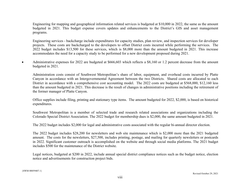Engineering for mapping and geographical information related services is budgeted at \$10,000 in 2022, the same as the amount budgeted in 2021. This budget expense covers updates and enhancements to the District's GIS and asset management programs.

Engineering services - backcharge include expenditures for capacity studies, plan review, and inspection services for developer projects. These costs are backcharged to the developers to offset District costs incurred while performing the services. The 2022 budget includes \$13,500 for these services, which is \$8,000 more than the amount budgeted in 2021. This increase accommodates the need for a capacity study to be performed for a new development proposed during 2021.

 $\bullet$  Administrative expenses for 2022 are budgeted at \$666,603 which reflects a \$8,160 or 1.2 percent decrease from the amount budgeted in 2021.

Administration costs consist of Southwest Metropolitan's share of labor, equipment, and overhead costs incurred by Platte Canyon in accordance with an Intergovernmental Agreement between the two Districts. Shared costs are allocated to each District in accordance with a comprehensive cost accounting model. The 2022 costs are budgeted at \$568,000, \$12,160 less than the amount budgeted in 2021. This decrease is the result of changes in administrative positions including the retirement of the former manager of Platte Canyon.

Office supplies include filing, printing and stationary type items. The amount budgeted for 2022, \$2,000, is based on historical expenditures.

Southwest Metropolitan is a member of selected trade and research related associations and organizations including the Colorado Special District Association. The 2022 budget for membership dues is \$2,000, the same amount budgeted in 2021.

The 2022 budget includes \$2,000 for legal and administrative costs associated with the regular bi-annual director election.

The 2022 budget includes \$28,200 for newsletters and web site maintenance which is \$2,000 more than the 2021 budgeted amount. The costs for the newsletters, \$27,500, includes printing, postage, and mailing for quarterly newsletters or postcards in 2022. Significant customer outreach is accomplished on the website and through social media platforms. The 2021 budget includes \$500 for the maintenance of the District website.

Legal notices, budgeted at \$200 in 2022, include annual special district compliance notices such as the budget notice, election notice and advertisements for construction project bids.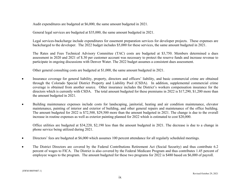Audit expenditures are budgeted at \$6,000, the same amount budgeted in 2021.

General legal services are budgeted at \$35,000, the same amount budgeted in 2021.

Legal services-backcharge include expenditures for easement preparation services for developer projects. These expenses are backcharged to the developer. The 2022 budget includes \$5,000 for these services, the same amount budgeted in 2021.

The Rates and Fees Technical Advisory Committee (TAC) costs are budgeted at \$3,750. Members determined a dues assessment in 2020 and 2021 of \$.30 per customer account was necessary to protect the reserve funds and increase revenue to participate in ongoing discussions with Denver Water. The 2022 budget assumes a consistent dues assessment.

Other general consulting costs are budgeted at \$1,000, the same amount budgeted in 2021.

- $\bullet$  Insurance coverage for general liability, property, directors and officers' liability, and basic commercial crime are obtained through the Colorado Special District Property and Liability Pool (CSDA). In addition, supplemental commercial crime coverage is obtained from another source. Other insurance includes the District's workers compensation insurance for the directors which is currently with CSDA. The total amount budgeted for these premiums in 2022 is \$17,290, \$1,200 more than the amount budgeted in 2021.
- $\bullet$  Building maintenance expenses include costs for landscaping, janitorial, heating and air condition maintenance, elevator maintenance, painting of interior and exterior of building, and other general repairs and maintenance of the office building. The amount budgeted for 2022 is \$72,500, \$29,500 more than the amount budgeted in 2021. The change is due to the overall increase in routine expenses as well as exterior painting planned for 2022 whish is estimated to cost \$20,000.

Office utilities are budgeted at \$34,220, \$2,190 less than the amount budgeted in 2021. The decrease is due to a change in phone service being utilized during 2021.

- $\bullet$ Directors' fees are budgeted at \$6,000 which assumes 100 percent attendance for all regularly scheduled meetings.
- $\bullet$  The District Directors are covered by the Federal Contributions Retirement Act (Social Security) and thus contribute 6.2 percent of wages to FICA. The District is also covered by the Federal Medicare Program and thus contributes 1.45 percent of employee wages to the program. The amount budgeted for these two programs for 2022 is \$480 based on \$6,000 of payroll.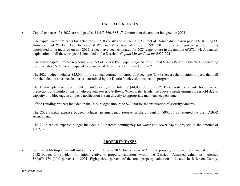## **CAPITAL EXPENSES**

 $\bullet$ Capital expenses for 2022 are budgeted at \$1,453,560, \$851,749 more than the amount budgeted in 2021.

One capital water project is budgeted for 2022. It consists of replacing 2,239 feet of 16-inch ductile iron pipe in S. Kipling St. from south of W. Fair Ave. to north of W. Coal Mine Ave. at a cost of \$925,201. Projected engineering design costs anticipated to be incurred on this 2022 project have been estimated for 2021 expenditure in the amount of \$72,094. A detailed explanation of all these projects is included in the District's *Capital Master Plan for 2022-2031*.

One sewer capital project replacing 227 feet of 8-inch PVC pipe budgeted for 2022 at \$146,735 with estimated engineering design costs of \$15,826 anticipated to be incurred during the fourth quarter of 2021.

The 2022 budget includes \$25,000 for the annual contract for cured-in-place pipe (CIPP) sewer rehabilitation projects that will be scheduled on an as needed basis determined by the District's television inspection program.

The District plans to install eight SmartCover Systems totaling \$44,000 during 2022. These systems provide for proactive predictions and notifications to help prevent sewer overflows. When water levels rise above a predetermined threshold due to capacity or a blockage in a pipe, a notification is sent directly to appropriate maintenance personnel.

Office Building projects included in the 2022 budget amount to \$20,000 for the installation of security cameras.

The 2022 capital expense budget includes an emergency reserve in the amount of \$90,301 as required by the TABOR Amendment.

The 2022 capital expense budget includes a 20 percent contingency for water and sewer capital projects in the amount of \$202,323.

## **PROPERTY TAXES**

 $\bullet$  Southwest Metropolitan will not certify a mill levy in 2022 for tax year 2021. The property tax schedule is included in the 2022 budget to provide information relative to property valuations within the District. Assessed valuations increased \$68,076,174 (10.0 percent) in 2021. Eighty-three percent of the total property valuation is located in Jefferson County,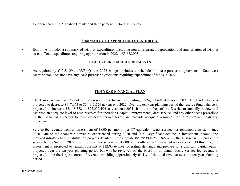fourteen percent in Arapahoe County and three percent in Douglas County.

## **SUMMARY OF EXPENDITURES (EXHIBIT A)**

 $\bullet$  Exhibit A provides a summary of District expenditures including non-appropriated depreciation and amortization of District assets. Total expenditures requiring appropriation in 2022 is \$3,628,003.

## **LEASE - PURCHASE AGREEMENTS**

0 As required by *C.R.S. 29-1-103(3)(d)*, the 2022 budget includes a schedule for lease-purchase agreements. Southwest Metropolitan does not have any lease-purchase agreements requiring expenditure of funds in 2022.

## **TEN YEAR FINANCIAL PLAN**

 $\bullet$  The Ten-Year Financial Plan identifies a reserve fund balance amounting to \$24,731,691 at year end 2021. The fund balance is projected to decrease \$617,965 to \$24,113,726 at year end 2022. Over the ten-year planning period the reserve fund balance is projected to increase \$3,118,378 to \$27,232,104 at year end 2031. It is the policy of the District to annually review and establish an adequate level of cash reserves for operations, capital improvements, debt service, and any other needs prescribed by the Board of Directors to meet expected service levels and provide adequate resources for infrastructure repair and replacement.

Service fee revenue from an assessment of \$8.00 per month per  $\frac{3}{4}$  equivalent water service has remained consistent since 2020. Due to the economic downturn experienced during 2020 and 2021, significant decline in investment income, and required infrastructure rehabilitation projects detailed in the *Capital Master Plan for 2022-2031* the District will increase the service fee by \$4.00 in 2022 resulting in an assessment of \$12.00 per month per  $\frac{3}{4}$ " equivalent water service. At this time, the assessment is projected to remain constant at \$12.00 to meet operating demands and prepare for significant capital outlay projected over the ten-year planning period but will be reviewed by the board on an annual basis. Service fee revenue is projected to be the largest source of revenue providing approximately 61.1% of the total revenue over the ten-year planning period.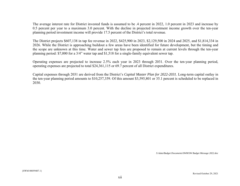The average interest rate for District invested funds is assumed to be .4 percent in 2022, 1.0 percent in 2023 and increase by 0.5 percent per year to a maximum 3.0 percent. With the decline in projected investment income growth over the ten-year planning period investment income will provide 17.5 percent of the District's total revenue.

The District projects \$607,138 in tap fee revenue in 2022, \$425,900 in 2023, \$2,129,500 in 2024 and 2025, and \$1,814,334 in 2026. While the District is approaching buildout a few areas have been identified for future development, but the timing and the scope are unknown at this time. Water and sewer tap fees are proposed to remain at current levels through the ten-year planning period: \$7,000 for a 3/4" water tap and \$1,518 for a single-family equivalent sewer tap.

Operating expenses are projected to increase 2.5% each year in 2023 through 2031. Over the ten-year planning period, operating expenses are projected to total \$24,361,115 or 69.7 percent of all District expenditures.

Capital expenses through 2031 are derived from the District's *Capital Master Plan for 2022-2031*. Long-term capital outlay in the ten-year planning period amounts to \$10,257,359. Of this amount \$3,595,801 or 35.1 percent is scheduled to be replaced in 2030.

*S:\data\Budget Documents\SWM\SW Budget Message 2022.doc*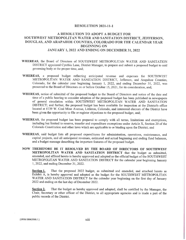#### RESOLUTION 2021-11-1

## A RESOLUTION TO ADOPT A BUDGET FOR SOUTHWEST METROPOLITAN WATER AND SANITATION DISTRICT, JEFFERSON, DOUGLAS, AND ARAPAHOE COUNTIES, COLORADO FOR THE CALENDAR YEAR BEGINNING ON JANUARY 1, 2022 AND ENDING ON DECEMBER 31, 2022

- WHEREAS, the Board of Directors of SOUTHWEST METROPOLITAN WATER AND SANITATION DISTRICT appointed Cynthia Lane, District Manager, to prepare and submit <sup>a</sup> proposed budget to said governing body at the proper time, and;
- WHEREAS, <sup>a</sup> proposed budget reflecting anticipated revenue and expenses for SOUTHWEST METROPOLITAN WATER AND SANITATION DISTRICT, Jefferson, and Arapahoe Counties, Colorado, for the calendar year beginning January 1, 2022, and ending December 31, 2022, was presented to the Board of Directors on or before October 15, 2021, for its consideration, and;
- WHEREAS, notice of submittal of the proposed budget to the Board of Directors and notice of the date and time of <sup>a</sup> public hearing to consider adoption of the proposed budget has been published in newspapers of general circulation within SOUTHWEST METROPOLITAN WATER AND SANITATION DISTRICT; and further, the proposed budget has been available for inspection at the District's office located at 8739 W. Coal Mine Avenue, Littleton, Colorado, and interested electors of the District have been given the opportunity to file or register objections to the proposed budget, and;
- WHEREAS, the proposed budget has been prepared to comply with all terms, limitations and exemptions, including but limited to reserve, transfer and expenditure exemptions under Article X, Section 20 of the Colorado Constitution and other laws which are applicable to or binding upon the District; and
- WHEREAS, said budget lists all proposed expenditures for administration, operations, maintenance, and capital projects, and all anticipated revenues, estimated and actual beginning and ending fund balances, and <sup>a</sup> budget message describing the important features of the proposed budget.
- NOW THEREFORE BE IT RESOLVED BY THE BOARD OF DIRECTORS OF SOUTHWEST METROPOLITAN WATER AND SANITATION DISTRICT that the budget as submitted, amended, and affixed hereto is hereby approved and adopted as the official budget of the SOUTHWEST METROPOLITAN WATER AND SANITATION DISTRICT for the calendar year beginning January 1, 2022, and ending December 31, 2022.

Section 1. That the proposed 2022 budget, as submitted and amended, and attached hereto as Exhibit A, is hereby approved and adopted as the budget for the SOUTHWEST METROPOLITAN WATER AND SANITATION DISTRICT for the calendar year beginning on the first day of January 2022 and ending on the last day of December 2022.

Section 2. That the budget as hereby approved and adopted, shall be certified by the Manager, the Chair, Secretary or other officer of the District, to all appropriate agencies and is made <sup>a</sup> part of the public records of the District.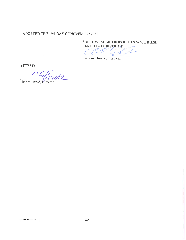## ADOPTED THIS 19th DAY OF NOVEMBER 2021.

SOUTHWEST METROPOLITAN WATER AND

SANITATION DISTRICT (i. CE E

Anthony Dursey, President

ATTEST:

T<br>MUS2

Charles Hausé, Director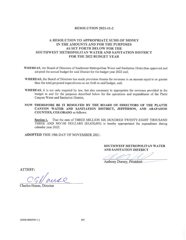#### RESOLUTION 2021-11-2

## A RESOLUTION TO APPROPRIATE SUMS OF MONEY IN THE AMOUNTS AND FOR THE PURPOSES AS SET FORTH BELOW FOR THE SOUTHWEST METROPOLITAN WATER AND SANITATION DISTRICT FOR THE 2022 BUDGET YEAR

- WHEREAS, the Board of Directors of Southwest Metropolitan Water and Sanitation Districthas approved and adopted the annual budget for said District for the budget year 2022 and;
- WHEREAS, the Board of Directors has made provision therein for revenues in an amount equal to or greater than the total proposed expenditures as set forth in said budget, and;
- WHEREAS, it is not only required by law, but also necessary to appropriate the revenues provided in the budget to and for the purposes described below for the operations and expenditures of the Platte Canyon Water and Sanitation District,
- NOW THEREFORE BE IT RESOLVED BY THE BOARD OF DIRECTORS OF THE PLATTE CANYON WATER AND SANITATION DISTRICT, JEFFERSON, AND ARAPAHOE COUNTIES, COLORADO as follows:

Section 1. That the sum of THREE MILLION SIX HUNDRED TWENTY-EIGHT THOUSAND THREE AND NO/100 DOLLARS (\$3,628,003) is hereby appropriated for expenditure during calendar year 2022.

ADOPTED THIS 19th DAY OF NOVEMBER 2021.

SOUTHWEST METROPOLITAN WATER AND SANITATION DISTRICT

AND SANTTATION DISTRICT

ATTEST:

Charles Hause, Director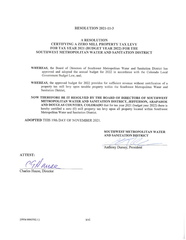## RESOLUTION 2021-11-3

## A RESOLUTION CERTIFYING A ZERO MILL PROPERTY TAX LEVY FOR TAX YEAR 2021 (BUDGET YEAR 2022) FOR THE SOUTHWEST METROPOLITAN WATER AND SANITATION DISTRICT

- WHEREAS, the Board of Directors of Southwest Metropolitan Water and Sanitation District has approved and adopted the annual budget for 2022 in accordance with the Colorado Local Government Budget Law, and;
- WHEREAS, the approved budget for 2022 provides for sufficient revenue without certification of <sup>a</sup> property tax mill levy upon taxable property within the Southwest Metropolitan Water and Sanitation District,
- NOW THEREFORE BE IT RESOLVED BY THE BOARD OF DIRECTORS OF SOUTHWEST METROPOLITAN WATER AND SANITATION DISTRICT, JEFFERSON, ARAPAHOE AND DOUGLAS COUNTIES, COLORADO that for tax year <sup>2021</sup> (budget year 2022) there is hereby certified <sup>a</sup> zero (0) mill property tax levy upon all property located within Southwest Metropolitan Water and Sanitation District.

ADOPTED THIS 19th DAY OF NOVEMBER 2021.

SOUTHWEST METROPOLITAN WATER AND SANITATION DISTRICT

Anthony Dursey, President

ATTEST:

Charles Hause, Director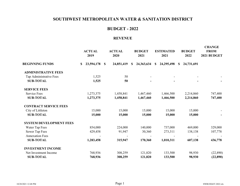## **BUDGET - 2022**

#### **REVENUE**

|                                | <b>ACTUAL</b><br>2019 | <b>ACTUAL</b><br>2020 | <b>BUDGET</b><br>2021 | <b>ESTIMATED</b><br>2021 | <b>BUDGET</b><br>2022       | <b>CHANGE</b><br><b>FROM</b><br>2021 BUDGET |
|--------------------------------|-----------------------|-----------------------|-----------------------|--------------------------|-----------------------------|---------------------------------------------|
| <b>BEGINNING FUNDS</b>         | 23,594,178 \$<br>\$   | 24,851,419            | 24,363,634<br>S       | 24,295,498<br>S          | 24,731,691<br><sup>\$</sup> |                                             |
| <b>ADMINISTRATIVE FEES</b>     |                       |                       |                       |                          |                             |                                             |
| Tap Administrative Fees        | 1,525                 | 50                    |                       |                          |                             |                                             |
| <b>SUB-TOTAL</b>               | 1,525                 | 50                    |                       |                          |                             |                                             |
| <b>SERVICE FEES</b>            |                       |                       |                       |                          |                             |                                             |
| <b>Service Fees</b>            | 1,273,375             | 1,458,841             | 1,467,460             | 1,466,500                | 2,214,860                   | 747,400                                     |
| <b>SUB-TOTAL</b>               | 1,273,375             | 1,458,841             | 1,467,460             | 1,466,500                | 2,214,860                   | 747,400                                     |
| <b>CONTRACT SERVICE FEES</b>   |                       |                       |                       |                          |                             |                                             |
| City of Littleton              | 15,000                | 15,000                | 15,000                | 15,000                   | 15,000                      |                                             |
| <b>SUB-TOTAL</b>               | 15,000                | 15,000                | 15,000                | 15,000                   | 15,000                      |                                             |
| <b>SYSTEM DEVELOPMENT FEES</b> |                       |                       |                       |                          |                             |                                             |
| Water Tap Fees                 | 854,000               | 224,000               | 140,000               | 737,000                  | 469,000                     | 329,000                                     |
| Sewer Tap Fees                 | 429,458               | 91,947                | 30,360                | 273,311                  | 138,138                     | 107,778                                     |
| <b>Annexation Fees</b>         |                       |                       |                       |                          |                             |                                             |
| <b>SUB-TOTAL</b>               | 1,283,458             | 315,947               | 170,360               | 1,010,311                | 607,138                     | 436,778                                     |
| <b>INVESTMENT INCOME</b>       |                       |                       |                       |                          |                             |                                             |
| Net Investment Income          | 768,936               | 308,259               | 121,820               | 133,500                  | 98,930                      | (22,890)                                    |
| <b>SUB-TOTAL</b>               | 768,936               | 308,259               | 121,820               | 133,500                  | 98,930                      | (22,890)                                    |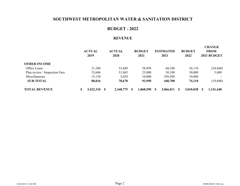## **BUDGET - 2022**

## **REVENUE**

|                               |   | <b>ACTUAL</b><br>2019 | <b>ACTUAL</b><br><b>2020</b> | <b>BUDGET</b><br>2021 | <b>ESTIMATED</b><br>2021 |           |   | <b>BUDGET</b><br>2022 | <b>CHANGE</b><br><b>FROM</b><br>2021 BUDGET |
|-------------------------------|---|-----------------------|------------------------------|-----------------------|--------------------------|-----------|---|-----------------------|---------------------------------------------|
| <b>OTHER INCOME</b>           |   |                       |                              |                       |                          |           |   |                       |                                             |
| Office Lease                  |   | 31,280                | 33,689                       | 58,950                |                          | 60,100    |   | 34,110                | (24, 840)                                   |
| Plan review / Inspection Fees |   | 33,606                | 31,965                       | 25,000                |                          | 30,100    |   | 30,000                | 5,000                                       |
| Miscellaneous                 |   | 15,130                | 5,024                        | 10,000                |                          | 350,500   |   | 10,000                |                                             |
| <b>SUB-TOTAL</b>              |   | 80,016                | 70,678                       | 93,950                |                          | 440,700   |   | 74,110                | (19, 840)                                   |
| <b>TOTAL REVENUE</b>          | S | 3,422,310             | 2,168,775                    | 1,868,590             |                          | 3,066,011 | S | 3,010,038             | 1,141,448                                   |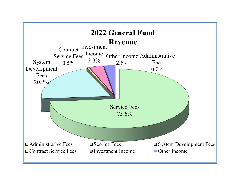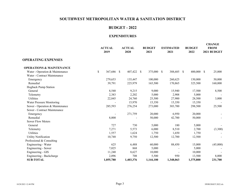## **BUDGET - 2022**

|                                     | <b>ACTUAL</b><br>2019 | <b>ACTUAL</b><br>2020 | <b>BUDGET</b><br>2021 | <b>ESTIMATED</b><br>2021 |            | <b>BUDGET</b><br>2022 | <b>CHANGE</b><br><b>FROM</b><br>2021 BUDGET |
|-------------------------------------|-----------------------|-----------------------|-----------------------|--------------------------|------------|-----------------------|---------------------------------------------|
| <b>OPERATING EXPENSES</b>           |                       |                       |                       |                          |            |                       |                                             |
| <b>OPERATIONS &amp; MAINTENANCE</b> |                       |                       |                       |                          |            |                       |                                             |
| Water - Operation & Maintenance     | \$<br>367,686 \$      | 407,422 \$            | 375,000 \$            |                          | 388,685 \$ | 400,000 \$            | 25,000                                      |
| Water - Contract Maintenance        |                       |                       |                       |                          |            |                       |                                             |
| Emergency                           | 279,653               | 135,447               | 100,000               |                          | 260,625    | 150,000               | 50,000                                      |
| Remedial                            | 39,791                | 225,979               | 165,500               |                          | 170,865    | 325,500               | 160,000                                     |
| Hogback Pump Station                |                       |                       |                       |                          |            |                       |                                             |
| General                             | 8,540                 | 9,215                 | 9,000                 |                          | 15,940     | 17,500                | 8,500                                       |
| Telemetry                           | 2,383                 | 2,202                 | 5,000                 |                          | 2,908      | 5,000                 |                                             |
| Utilities                           | 22,845                | 24,760                | 25,500                |                          | 27,900     | 28,500                | 3,000                                       |
| Water Pressure Monitoring           |                       | 15,970                | 15,350                |                          | 15,350     | 15,350                |                                             |
| Sewer - Operation & Maintenance     | 285,593               | 276,254               | 273,000               |                          | 303,700    | 298,500               | 25,500                                      |
| Sewer - Contract Maintenance        |                       |                       |                       |                          |            |                       |                                             |
| Emergency                           |                       | 271,759               | 20,000                |                          | 6,950      | 20,000                |                                             |
| Remedial                            | 8,000                 |                       | 50,000                |                          | 42,700     | 50,000                |                                             |
| <b>Sewer Flow Meters</b>            |                       |                       |                       |                          |            |                       |                                             |
| General                             | 727                   | 730                   | 5,000                 |                          | 180        | 5,000                 |                                             |
| Telemetry                           | 7,271                 | 5,573                 | 6,000                 |                          | 8,510      | 2,700                 | (3,300)                                     |
| Utilities                           | 1,557                 | 1,624                 | 1,750                 |                          | 1,650      | 1,750                 |                                             |
| <b>Utility Notification</b>         | 10,748                | 9,750                 | 12,500                |                          | 12,700     | 12,500                |                                             |
| Professional & Consulting           |                       |                       |                       |                          |            |                       |                                             |
| Engineering - Water                 | 625                   | 6,488                 | 60,000                |                          | 88,450     | 15,000                | (45,000)                                    |
| Engineering - Sewer                 | 7,025                 | 868                   | 5,000                 |                          |            | 5,000                 |                                             |
| Engineering - GIS                   | 11,240                | 8,627                 | 10,000                |                          |            | 10,000                |                                             |
| Engineering - Backcharge            | 2,096                 | 708                   | 5,500                 |                          | 950        | 13,500                | 8,000                                       |
| <b>SUB-TOTAL</b>                    | 1,055,780             | 1,403,376             | 1,144,100             | 1,348,063                |            | 1,375,800             | 231,700                                     |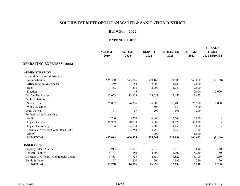#### **BUDGET - 2022**

|                                         | <b>ACTUAL</b><br>2019 | <b>ACTUAL</b><br>2020 | <b>BUDGET</b><br>2021 | <b>ESTIMATED</b><br>2021 | <b>BUDGET</b><br>2022 | <b>CHANGE</b><br><b>FROM</b><br>2021 BUDGET |
|-----------------------------------------|-----------------------|-----------------------|-----------------------|--------------------------|-----------------------|---------------------------------------------|
| <b>OPERATING EXPENSES (cont.)</b>       |                       |                       |                       |                          |                       |                                             |
| <b>ADMINISTRATION</b>                   |                       |                       |                       |                          |                       |                                             |
| General Office Administration           |                       |                       |                       |                          |                       |                                             |
| Administration                          | 535,390               | 575,746               | 580,160               | 621,500                  | 568,000               | (12,160)                                    |
| Office Supplies & Expense               | 1,359                 | 1,154                 | 2,000                 | 1,180                    | 2,000                 |                                             |
| Dues                                    | 1,738                 | 1,238                 | 2,000                 | 1,740                    | 2,000                 |                                             |
| Election                                |                       | 45                    |                       |                          | 2,000                 | 2,000                                       |
| DWD collection fee                      | 13,653                | 13,653                | 13,653                | 13,653                   | 13,653                |                                             |
| <b>Public Relations</b>                 |                       |                       |                       |                          |                       |                                             |
| Newsletters                             | 25,007                | 26,226                | 25,500                | 26,400                   | 27,500                | 2,000                                       |
| Website / Other                         |                       |                       | 500                   | 150                      | 500                   |                                             |
| <b>Legal Notices</b>                    | 91                    | 59                    | 200                   | 105                      | 200                   |                                             |
| Professional & Consulting               |                       |                       |                       |                          |                       |                                             |
| Audit                                   | 5,700                 | 5,700                 | 6,000                 | 5,700                    | 6,000                 |                                             |
| Legal - General                         | 30,959                | 28,778                | 35,000                | 34,570                   | 35,000                |                                             |
| Legal - Backcharge                      | 3,186                 | 4,604                 | 5,000                 | 4,450                    | 5,000                 |                                             |
| Technical Advisory Committee (TAC)      |                       | 3,750                 | 3,750                 | 3,750                    | 3,750                 |                                             |
| Other                                   |                       |                       | 1,000                 |                          | 1,000                 |                                             |
| <b>SUB-TOTAL</b>                        | 617,083               | 660,953               | 674,763               | 713,198                  | 666,603               | (8,160)                                     |
| <b>INSURANCE</b>                        |                       |                       |                       |                          |                       |                                             |
| Property/Inland Marine                  | 4,915                 | 5,011                 | 6,240                 | 5,913                    | 6,690                 | 450                                         |
| General Liability                       | 4,143                 | 4,650                 | 4,800                 | 4,707                    | 5,250                 | 450                                         |
| Directors & Officers / Commercial Crime | 4,483                 | 4,725                 | 4,850                 | 4,822                    | 5,100                 | 250                                         |
| Bonds & Other                           | 197                   | 200                   | 200                   | 197                      | 250                   | 50                                          |
| <b>SUB-TOTAL</b>                        | 13,738                | 14,586                | 16,090                | 15,639                   | 17,290                | 1,200                                       |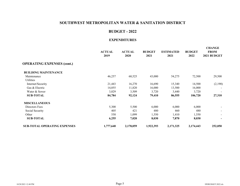#### **BUDGET - 2022**

|                                     | <b>ACTUAL</b><br>2019 | <b>ACTUAL</b><br>2020 | <b>BUDGET</b><br>2021 | <b>ESTIMATED</b><br>2021 | <b>BUDGET</b><br>2022 | <b>CHANGE</b><br><b>FROM</b><br>2021 BUDGET |
|-------------------------------------|-----------------------|-----------------------|-----------------------|--------------------------|-----------------------|---------------------------------------------|
| <b>OPERATING EXPENSES (cont.)</b>   |                       |                       |                       |                          |                       |                                             |
| <b>BUILDING MAINTENANCE</b>         |                       |                       |                       |                          |                       |                                             |
| Maintenance                         | 46,257                | 60,525                | 43,000                | 54,275                   | 72,500                | 29,500                                      |
| <b>Utilities</b>                    |                       |                       |                       |                          |                       |                                             |
| Internet/Security                   | 21,443                | 16,270                | 16,690                | 15,340                   | 14,500                | (2,190)                                     |
| Gas & Electric                      | 14,055                | 11,820                | 16,000                | 13,500                   | 16,000                |                                             |
| Water & Sewer                       | 3,029                 | 3,509                 | 3,720                 | 3,440                    | 3,720                 |                                             |
| <b>SUB-TOTAL</b>                    | 84,784                | 92,124                | 79,410                | 86,555                   | 106,720               | 27,310                                      |
| <b>MISCELLANEOUS</b>                |                       |                       |                       |                          |                       |                                             |
| Directors Fees                      | 5,300                 | 5,500                 | 6,000                 | 6,000                    | 6,000                 | $\blacksquare$                              |
| Social Security                     | 405                   | 421                   | 480                   | 460                      | 480                   |                                             |
| Other                               | 550                   | 1,099                 | 1,550                 | 1,410                    | 1,550                 |                                             |
| <b>SUB-TOTAL</b>                    | 6,255                 | 7,020                 | 8,030                 | 7,870                    | 8,030                 | $\overline{\phantom{a}}$                    |
| <b>SUB-TOTAL OPERATING EXPENSES</b> | 1,777,640             | 2,178,059             | 1,922,393             | 2,171,325                | 2,174,443             | 252,050                                     |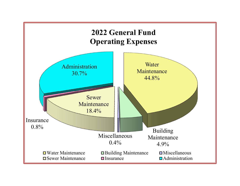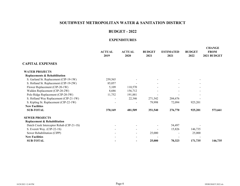#### **BUDGET - 2022**

|                                           | <b>ACTUAL</b><br>2019 | <b>ACTUAL</b><br>2020    | <b>BUDGET</b><br>2021 | <b>ESTIMATED</b><br>2021 | <b>BUDGET</b><br>2022 | <b>CHANGE</b><br><b>FROM</b><br>2021 BUDGET |
|-------------------------------------------|-----------------------|--------------------------|-----------------------|--------------------------|-----------------------|---------------------------------------------|
| <b>CAPITAL EXPENSES</b>                   |                       |                          |                       |                          |                       |                                             |
| <b>WATER PROJECTS</b>                     |                       |                          |                       |                          |                       |                                             |
| <b>Replacements &amp; Rehabilitation</b>  |                       |                          |                       |                          |                       |                                             |
| S. Garland St. Replacement (CIP-19-1W)    | 259,565               |                          |                       |                          |                       |                                             |
| S. Holland St. Replacement (CIP-19-2W)    | 85,057                |                          |                       |                          |                       |                                             |
| Flower Replacement (CIP-20-1W)            | 5,109                 | 110,570                  |                       |                          |                       |                                             |
| Walden Replacement (CIP-20-2W)            | 8,686                 | 156,712                  | $\blacksquare$        |                          |                       |                                             |
| Polo Ridge Replacement (CIP-20-3W)        | 11,752                | 191,881                  |                       |                          |                       |                                             |
| S. Holland Way Replacement (CIP-21-1W)    |                       | 22,346                   | 271,542               | 204,676                  |                       |                                             |
| S. Kipling St. Replacement (CIP-22-1W)    |                       |                          | 79,998                | 72,094                   | 925,201               |                                             |
| <b>New Facilities</b>                     |                       |                          |                       |                          |                       |                                             |
| <b>SUB-TOTAL</b>                          | 370,169               | 481,509                  | 351,540               | 276,770                  | 925,201               | 573,661                                     |
| <b>SEWER PROJECTS</b>                     |                       |                          |                       |                          |                       |                                             |
| <b>Replacement &amp; Rehabilitation</b>   |                       |                          |                       |                          |                       |                                             |
| Dutch Creek Interceptor Rehab (CIP-21-1S) |                       |                          |                       | 54,497                   |                       |                                             |
| S. Everett Way. (CIP-22-1S)               |                       | $\overline{a}$           | $\blacksquare$        | 15,826                   | 146,735               |                                             |
| Sewer Rehabilitation (CIPP)               |                       |                          | 25,000                |                          | 25,000                |                                             |
| <b>New Facilities</b>                     |                       | $\overline{\phantom{0}}$ |                       |                          |                       |                                             |
| <b>SUB-TOTAL</b>                          |                       | $\overline{\phantom{0}}$ | 25,000                | 70,323                   | 171,735               | 146,735                                     |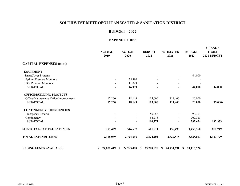#### **BUDGET - 2022**

|                                        | <b>ACTUAL</b><br>2019    | <b>ACTUAL</b><br>2020 | <b>BUDGET</b><br>2021 | <b>ESTIMATED</b><br>2021 | <b>BUDGET</b><br>2022    | <b>CHANGE</b><br><b>FROM</b><br>2021 BUDGET |
|----------------------------------------|--------------------------|-----------------------|-----------------------|--------------------------|--------------------------|---------------------------------------------|
| <b>CAPITAL EXPENSES (cont)</b>         |                          |                       |                       |                          |                          |                                             |
| <b>EQUIPMENT</b>                       |                          |                       |                       |                          |                          |                                             |
| SmartCover Systems                     | $\overline{\phantom{a}}$ |                       |                       |                          | 44,000                   |                                             |
| <b>Hydrant Pressure Monitors</b>       |                          | 35,880                |                       |                          |                          |                                             |
| <b>PRV</b> Pressure Monitors           |                          | 11,099                | $\sim$                | $\blacksquare$           | $\overline{\phantom{0}}$ |                                             |
| <b>SUB-TOTAL</b>                       |                          | 46,979                |                       |                          | 44,000                   | 44,000                                      |
| <b>OFFICE/BUILDING PROJECTS</b>        |                          |                       |                       |                          |                          |                                             |
| Office/Maintenance Office Improvements | 17,260                   | 18,149                | 115,000               | 111,400                  | 20,000                   |                                             |
| <b>SUB-TOTAL</b>                       | 17,260                   | 18,149                | 115,000               | 111,400                  | 20,000                   | (95,000)                                    |
| <b>CONTINGENCY/EMERGENCIES</b>         |                          |                       |                       |                          |                          |                                             |
| <b>Emergency Reserve</b>               |                          |                       | 56,058                |                          | 90,301                   |                                             |
| Contingency                            |                          | $\blacksquare$        | 54,213                |                          | 202,323                  |                                             |
| <b>SUB-TOTAL</b>                       |                          | $\blacksquare$        | 110,271               |                          | 292,624                  | 182,353                                     |
| <b>SUB-TOTAL CAPITAL EXPENSES</b>      | 387,429                  | 546,637               | 601,811               | 458,493                  | 1,453,560                | 851,749                                     |
| <b>TOTAL EXPENDITURES</b>              | 2,165,069                | 2,724,696             | 2,524,204             | 2,629,818                | 3,628,003                | 1,103,799                                   |
| <b>ENDING FUNDS AVAILABLE</b>          | 24,851,419<br>\$         | 24,295,498<br>S.      | 23,708,020<br>S.      | 24,731,691<br>S.         | 24,113,726<br>S.         |                                             |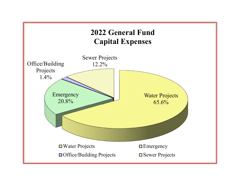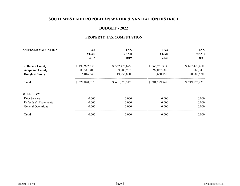## **BUDGET - 2022**

## **PROPERTY TAX COMPUTATION**

| <b>ASSESSED VALUATION</b> | <b>TAX</b>    | <b>TAX</b>    | <b>TAX</b>    | <b>TAX</b>    |
|---------------------------|---------------|---------------|---------------|---------------|
|                           | <b>YEAR</b>   | <b>YEAR</b>   | <b>YEAR</b>   | <b>YEAR</b>   |
|                           | 2018          | 2019          | 2020          | 2021          |
| <b>Jefferson County</b>   | \$497,922,335 | \$562,475,675 | \$565,931,914 | \$627,420,460 |
| <b>Arapahoe County</b>    | 83,541,408    | 99,288,957    | 97,037,685    | 101,666,943   |
| <b>Douglas County</b>     | 16,016,240    | 19,255,880    | 18,630,150    | 20,588,520    |
| <b>Total</b>              | \$522,820,016 | \$681,020,512 | \$681,599,749 | \$749,675,923 |
| <b>MILL LEVY</b>          |               |               |               |               |
| Debt Service              | 0.000         | 0.000         | 0.000         | 0.000         |
| Refunds & Abatements      | 0.000         | 0.000         | 0.000         | 0.000         |
| General Operations        | 0.000         | 0.000         | 0.000         | 0.000         |
| <b>Total</b>              | 0.000         | 0.000         | 0.000         | 0.000         |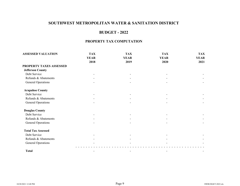## **BUDGET - 2022**

#### **PROPERTY TAX COMPUTATION**

| <b>ASSESSED VALUATION</b> | <b>TAX</b>               | <b>TAX</b>               | <b>TAX</b>  | <b>TAX</b>  |  |  |  |
|---------------------------|--------------------------|--------------------------|-------------|-------------|--|--|--|
|                           | <b>YEAR</b>              | <b>YEAR</b>              | <b>YEAR</b> | <b>YEAR</b> |  |  |  |
|                           | 2018                     | 2019                     | 2020        | 2021        |  |  |  |
| PROPERTY TAXES ASSESSED   |                          |                          |             |             |  |  |  |
| <b>Jefferson County</b>   |                          |                          |             |             |  |  |  |
| Debt Service              |                          |                          |             |             |  |  |  |
| Refunds & Abatements      |                          |                          |             |             |  |  |  |
| General Operations        |                          |                          |             |             |  |  |  |
| <b>Arapahoe County</b>    |                          |                          |             |             |  |  |  |
| Debt Service              |                          |                          |             |             |  |  |  |
| Refunds & Abatements      |                          |                          |             |             |  |  |  |
| General Operations        |                          |                          |             |             |  |  |  |
| <b>Douglas County</b>     |                          |                          |             |             |  |  |  |
| Debt Service              |                          |                          |             |             |  |  |  |
| Refunds & Abatements      |                          |                          |             |             |  |  |  |
| <b>General Operations</b> |                          |                          |             |             |  |  |  |
| <b>Total Tax Assessed</b> |                          |                          |             |             |  |  |  |
| Debt Service              |                          |                          |             |             |  |  |  |
| Refunds & Abatements      |                          |                          |             |             |  |  |  |
| <b>General Operations</b> |                          |                          |             |             |  |  |  |
| <b>Total</b>              | $\overline{\phantom{a}}$ | $\overline{\phantom{a}}$ |             |             |  |  |  |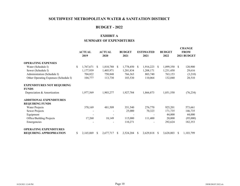## **BUDGET - 2022**

## **EXHIBIT A**

## **SUMMARY OF EXPENDITURES**

|                                       | <b>ACTUAL</b><br>2019 |    | <b>ACTUAL</b><br>2020 |              | <b>BUDGET</b><br>2021 |   | <b>ESTIMATED</b><br>2021 |    | <b>BUDGET</b><br>2022 |               | <b>CHANGE</b><br><b>FROM</b><br>2021 BUDGET |
|---------------------------------------|-----------------------|----|-----------------------|--------------|-----------------------|---|--------------------------|----|-----------------------|---------------|---------------------------------------------|
| <b>OPERATING EXPENSES</b>             |                       |    |                       |              |                       |   |                          |    |                       |               |                                             |
| Water (Schedule I)                    | \$<br>1,767,671       | S. | 1,810,788             | <sup>S</sup> | 1,778,450             | S | 1,916,223                | S. | 1,899,350             | <sup>\$</sup> | 120,900                                     |
| Sewer (Schedule I)                    | 1,177,939             |    | 1,405,971             |              | 1,201,834             |   | 1,208,171                |    | 1,231,450             |               | 29,616                                      |
| Administration (Schedule I)           | 704,822               |    | 750,848               |              | 766,363               |   | 803,740                  |    | 763,153               |               | (3,210)                                     |
| Other Operating Expenses (Schedule I) | 104,777               |    | 113,730               |              | 103,530               |   | 110,064                  |    | 132,040               |               | 28,510                                      |
| <b>EXPENDITURES NOT REQUIRING</b>     |                       |    |                       |              |                       |   |                          |    |                       |               |                                             |
| <b>FUNDS</b>                          |                       |    |                       |              |                       |   |                          |    |                       |               |                                             |
| Depreciation & Amortization           | 1,977,569             |    | 1,903,277             |              | 1,927,784             |   | 1,866,873                |    | 1,851,550             |               | (76, 234)                                   |
| <b>ADDITIONAL EXPENDITURES</b>        |                       |    |                       |              |                       |   |                          |    |                       |               |                                             |
| <b>REQUIRING FUNDS</b>                |                       |    |                       |              |                       |   |                          |    |                       |               |                                             |
| Water Projects                        | 370,169               |    | 481,509               |              | 351,540               |   | 276,770                  |    | 925,201               |               | 573,661                                     |
| Sewer Projects                        |                       |    |                       |              | 25,000                |   | 70,323                   |    | 171,735               |               | 146,735                                     |
| Equipment                             |                       |    |                       |              |                       |   |                          |    | 44,000                |               | 44,000                                      |
| Office/Building Projects              | 17,260                |    | 18,149                |              | 115,000               |   | 111,400                  |    | 20,000                |               | (95,000)                                    |
| Emergencies                           |                       |    |                       |              | 110,271               |   |                          |    | 292,624               |               | 182,353                                     |
| <b>OPERATING EXPENDITURES</b>         |                       |    |                       |              |                       |   |                          |    |                       |               |                                             |
| <b>REQUIRING APPROPRIATION</b>        | \$<br>2,165,069       | S. | 2,677,717             | S            | 2,524,204             | S | 2,629,818                | S  | 3,628,003             | S.            | 1,103,799                                   |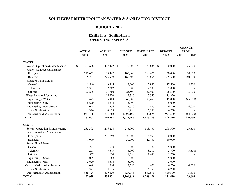## **BUDGET - 2022**

#### **EXHIBIT A - SCHEDULE I OPERATING EXPENSES**

|                                 | <b>ACTUAL</b><br>2019 | <b>ACTUAL</b><br>2020 | <b>BUDGET</b><br>2021    | <b>ESTIMATED</b><br>2021 | <b>BUDGET</b><br>2022 | <b>CHANGE</b><br><b>FROM</b><br>2021 BUDGET |
|---------------------------------|-----------------------|-----------------------|--------------------------|--------------------------|-----------------------|---------------------------------------------|
| <b>WATER</b>                    |                       |                       |                          |                          |                       |                                             |
| Water - Operation & Maintenance | \$<br>367,686 \$      | 407,422               | 375,000<br><sup>\$</sup> | \$<br>388,685 \$         | 400,000               | \$<br>25,000                                |
| Water - Contract Maintenance    |                       |                       |                          |                          |                       |                                             |
| Emergency                       | 279,653               | 135,447               | 100,000                  | 260,625                  | 150,000               | 50,000                                      |
| Remedial                        | 39,791                | 225,979               | 165,500                  | 170,865                  | 325,500               | 160,000                                     |
| Hogback Pump Station            |                       |                       |                          |                          |                       |                                             |
| General                         | 8,540                 | 9,215                 | 9,000                    | 15,940                   | 17,500                | 8,500                                       |
| Telemetry                       | 2,383                 | 2,202                 | 5,000                    | 2,908                    | 5,000                 |                                             |
| Utilities                       | 22,845                | 24,760                | 25,500                   | 27,900                   | 28,500                | 3,000                                       |
| Water Pressure Monitoring       |                       | 15,970                | 15,350                   | 15,350                   | 15,350                |                                             |
| Engineering - Water             | 625                   | 6,488                 | 60,000                   | 88,450                   | 15,000                | (45,000)                                    |
| Engineering - GIS               | 5,620                 | 4,314                 | 5,000                    |                          | 5,000                 |                                             |
| Engineering - Backcharge        | 1,048                 | 354                   | 2,750                    | 475                      | 6,750                 | 4,000                                       |
| <b>Utility Notification</b>     | 5,374                 | 4,875                 | 6,250                    | 6,350                    | 6,250                 |                                             |
| Depreciation & Amortization     | 1,034,106             | 973,762               | 1,009,100                | 938,675                  | 924,500               | (84,600)                                    |
| <b>TOTAL</b>                    | 1,767,671             | 1,810,788             | 1,778,450                | 1,916,223                | 1,899,350             | 120,900                                     |
| <b>SEWER</b>                    |                       |                       |                          |                          |                       |                                             |
| Sewer - Operation & Maintenance | 285,593               | 276,254               | 273,000                  | 303,700                  | 298,500               | 25,500                                      |
| Sewer - Contract Maintenance    |                       |                       |                          |                          |                       |                                             |
| Emergency                       |                       | 271,759               | 20,000                   | 6,950                    | 20,000                |                                             |
| Remedial                        | 8,000                 |                       | 50,000                   | 42,700                   | 50,000                |                                             |
| <b>Sewer Flow Meters</b>        |                       |                       |                          |                          |                       |                                             |
| General                         | 727                   | 730                   | 5,000                    | 180                      | 5,000                 |                                             |
| Telemetry                       | 7,271                 | 5,573                 | 6,000                    | 8,510                    | 2,700                 | (3,300)                                     |
| <b>Utilities</b>                | 1,557                 | 1,624                 | 1,750                    | 1,650                    | 1,750                 |                                             |
| Engineering - Sewer             | 7,025                 | 868                   | 5,000                    | $\blacksquare$           | 5,000                 |                                             |
| Engineering - GIS               | 5,620                 | 4,314                 | 5,000                    |                          | 5,000                 |                                             |
| General Office Administration   | 1,048                 | 354                   | 2,750                    | 475                      | 6,750                 | 4,000                                       |
| <b>Utility Notification</b>     | 5,374                 | 4,875                 | 6,250                    | 6,350                    | 6,250                 |                                             |
| Depreciation & Amortization     | 855,724               | 839,620               | 827,084                  | 837,656                  | 830,500               | 3,416                                       |
| <b>TOTAL</b>                    | 1,177,939             | 1,405,971             | 1,201,834                | 1,208,171                | 1,231,450             | 29,616                                      |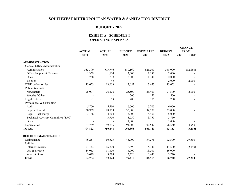## **BUDGET - 2022**

#### **EXHIBIT A - SCHEDULE I OPERATING EXPENSES**

|                                    | <b>ACTUAL</b><br>2019 | <b>ACTUAL</b><br>2020 | <b>BUDGET</b><br>2021 | <b>ESTIMATED</b><br>2021 | <b>BUDGET</b><br>2022 | <b>CHANGE</b><br><b>FROM</b><br>2021 BUDGET |
|------------------------------------|-----------------------|-----------------------|-----------------------|--------------------------|-----------------------|---------------------------------------------|
| <b>ADMINISTRATION</b>              |                       |                       |                       |                          |                       |                                             |
| General Office Administration      |                       |                       |                       |                          |                       |                                             |
| Administration                     | 535,390               | 575,746               | 580,160               | 621,500                  | 568,000               | (12,160)                                    |
| Office Supplies & Expense          | 1,359                 | 1,154                 | 2,000                 | 1,180                    | 2,000                 |                                             |
| Dues                               | 1,738                 | 1,238                 | 2,000                 | 1,740                    | 2,000                 |                                             |
| Election                           |                       | 45                    |                       |                          | 2,000                 | 2,000                                       |
| DWD collection fee                 | 13,653                | 13,653                | 13,653                | 13,653                   | 13,653                |                                             |
| <b>Public Relations</b>            |                       |                       |                       |                          |                       |                                             |
| Newsletters                        | 25,007                | 26,226                | 25,500                | 26,400                   | 27,500                | 2,000                                       |
| Website / Other                    |                       |                       | 500                   | 150                      | 500                   |                                             |
| Legal Notices                      | 91                    | 59                    | 200                   | 105                      | 200                   |                                             |
| Professional & Consulting          |                       |                       |                       |                          |                       |                                             |
| Audit                              | 5,700                 | 5,700                 | 6,000                 | 5,700                    | 6,000                 |                                             |
| Legal - General                    | 30,959                | 28,778                | 35,000                | 34,570                   | 35,000                |                                             |
| Legal - Backcharge                 | 3,186                 | 4,604                 | 5,000                 | 4,450                    | 5,000                 |                                             |
| Technical Advisory Committee (TAC) |                       | 3,750                 | 3,750                 | 3,750                    | 3,750                 |                                             |
| Other                              |                       |                       | 1,000                 |                          | 1,000                 |                                             |
| Depreciation                       | 87,739                | 89,895                | 91,600                | 90,542                   | 96,550                | 4,950                                       |
| <b>TOTAL</b>                       | 704,822               | 750,848               | 766,363               | 803,740                  | 763,153               | (3,210)                                     |
| <b>BUILDING MAINTENANCE</b>        |                       |                       |                       |                          |                       |                                             |
| Maintenance                        | 46,257                | 60,525                | 43,000                | 54,275                   | 72,500                | 29,500                                      |
| Utilities                          |                       |                       |                       |                          |                       |                                             |
| Internet/Security                  | 21,443                | 16,270                | 16,690                | 15,340                   | 14,500                | (2,190)                                     |
| Gas & Electric                     | 14,055                | 11,820                | 16,000                | 13,500                   | 16,000                |                                             |
| Water & Sewer                      | 3,029                 | 3,509                 | 3,720                 | 3,440                    | 3,720                 |                                             |
| <b>TOTAL</b>                       | 84,784                | 92,124                | 79,410                | 86,555                   | 106,720               | 27,310                                      |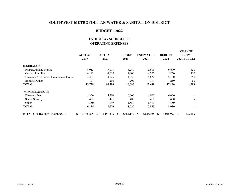## **BUDGET - 2022**

### **EXHIBIT A - SCHEDULE I OPERATING EXPENSES**

|                                         | <b>ACTUAL</b><br>2019 | <b>ACTUAL</b><br>2020 | <b>BUDGET</b><br>2021 | <b>ESTIMATED</b><br>2021 | <b>BUDGET</b><br>2022 | <b>CHANGE</b><br><b>FROM</b><br>2021 BUDGET |
|-----------------------------------------|-----------------------|-----------------------|-----------------------|--------------------------|-----------------------|---------------------------------------------|
| <b>INSURANCE</b>                        |                       |                       |                       |                          |                       |                                             |
| Property/Inland Marine                  | 4,915                 | 5,011                 | 6,240                 | 5,913                    | 6,690                 | 450                                         |
| General Liability                       | 4,143                 | 4,650                 | 4,800                 | 4,707                    | 5,250                 | 450                                         |
| Directors & Officers / Commercial Crime | 4,483                 | 4,725                 | 4,850                 | 4,822                    | 5,100                 | 250                                         |
| Bonds & Other                           | 197                   | 200                   | 200                   | 197                      | 250                   | 50                                          |
| TOTAL                                   | 13,738                | 14,586                | 16,090                | 15,639                   | 17,290                | 1,200                                       |
| <b>MISCELLANEOUS</b>                    |                       |                       |                       |                          |                       |                                             |
| Directors Fees                          | 5,300                 | 5,500                 | 6,000                 | 6,000                    | 6.000                 |                                             |
| Social Security                         | 405                   | 421                   | 480                   | 460                      | 480                   |                                             |
| Other                                   | 550                   | 1,099                 | 1,550                 | 1,410                    | 1,550                 |                                             |
| TOTAL                                   | 6,255                 | 7,020                 | 8,030                 | 7,870                    | 8,030                 |                                             |
| <b>TOTAL OPERATING EXPENSES</b>         | \$<br>3,755,209       | 4,081,336<br>S        | 3,850,177<br>-S       | 4,038,198<br><b>S</b>    | 4,025,993<br>S        | 175,816                                     |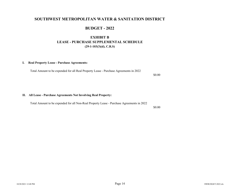## **BUDGET - 2022**

## **EXHIBIT B LEASE - PURCHASE SUPPLEMENTAL SCHEDULE(29-1-103(3)(d), C.R.S)**

#### **I. Real Property Lease - Purchase Agreements:**

Total Amount to be expended for all Real Property Lease - Purchase Agreements in 2022

**II. All Lease - Purchase Agreements Not Involving Real Property:**

Total Amount to be expended for all Non-Real Property Lease - Purchase Agreements in 2022

\$0.00

\$0.00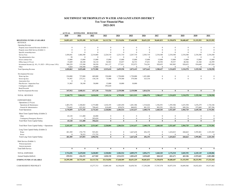#### **SOUTHWEST METROPOLITAN WATER AND SANITATION DISTRICT Ten Year Financial Plan 2022-2031**

|                                                      | <b>ACTUAL</b> | <b>ESTIMATED</b> | <b>BUDGETED</b> |              |              |                          |                |              |                          |                      |                  |              |
|------------------------------------------------------|---------------|------------------|-----------------|--------------|--------------|--------------------------|----------------|--------------|--------------------------|----------------------|------------------|--------------|
|                                                      | 2020          | 2021             | 2022            | 2023         | 2024         | 2025                     | 2026           | 2027         | 2028                     | 2029                 | 2030             | 2031         |
| BEGINNING FUNDS AVAILABLE<br><b>REVENUE</b>          | 24,851,419    | 24,295,498       | 24,731,691      | 24,113,726   | 25,134,056   | 27,648,589               | 28,651,229     | 30,681,833   | 31,530,078               | 30,688,407           | 31,153,593       | 28,233,992   |
| <b>Operating Revenue</b>                             |               |                  |                 |              |              |                          |                |              |                          |                      |                  |              |
| Property taxes General Revenue (Exhibit 1)           | $\theta$      | $\Omega$         | $\Omega$        | $\Omega$     | $\theta$     | $\Omega$                 | $\Omega$       | $\Omega$     | $\Omega$                 | $\Omega$             | $\Omega$         | $\theta$     |
| Property taxes Debt Service (Exhibit 1)              | $\theta$      | $\theta$         | $\theta$        | $\theta$     | $\theta$     | $\theta$                 | $\theta$       | $\Omega$     | $\theta$                 | $\Omega$             | $\theta$         | $\Omega$     |
| Specific ownership taxes                             | $\theta$      | $\Omega$         | $\theta$        | $\Omega$     | $\theta$     | $\Omega$                 | $\Omega$       | $\Omega$     | $\Omega$                 | $\Omega$             | $\Omega$         | $\Omega$     |
| Service Fees                                         | 1,458,841     | 1,466,500        | 2,214,860       | 2,224,510    | 2,231,710    | 2,267,710                | 2,303,710      | 2,334,380    | 2,334,380                | 2,334,380            | 2,334,380        | 2,334,380    |
| Tap administrative fees                              | 50            | $\theta$         | $\overline{0}$  | $\Omega$     | $\mathbf{0}$ | $\theta$                 | $\theta$       | $\theta$     | $\Omega$                 | $\Omega$             | $\theta$         |              |
| Sewer contract fees                                  | 15,000        | 15,000           | 15,000          | 15,000       | 15,000       | 15,000                   | 15,000         | 15,000       | 15,000                   | 15,000               | 15,000           | 15,000       |
| Office lease (2.5%/yr)                               | 33,689        | 60,100           | 34,110          | 34,963       | 35,837       | 36,733                   | 37,651         | 38,592       | 39,557                   | 40,546               | 41,560           | 42,599       |
| Investment Income (@ .4%, 1% 2023 +.50%/yr max 3.0%) | 308,259       | 133,500          | 98,930          | 241,137      | 377,011      | 552,972                  | 716,281        | 920,455      | 945,902                  | 920,652              | 934,608          | 847,020      |
| Other                                                | 5,024         | 350,500          | 10,000          | $\Omega$     | $\Omega$     | $\Omega$                 | $\Omega$       | $\Omega$     | $\overline{0}$           | $\Omega$             | $\Omega$         | $\Omega$     |
| <b>Total Operating Revenue</b>                       | 1,820,863     | 2,025,600        | 2,372,900       | 2,515,610    | 2,659,558    | 2,872,415                | 3,072,642      | 3,308,427    | 3,334,839                | 3,310,578            | 3,325,548        | 3,238,998    |
|                                                      |               |                  |                 |              |              |                          |                |              |                          |                      |                  |              |
| Development Revenue                                  |               |                  |                 |              |              |                          |                |              |                          |                      |                  |              |
| Water tap fees                                       | 224,000       | 737,000          | 469,000         | 350,000      | 1,750,000    | 1,750,000                | 1,491,000      | $\mathbf{0}$ | $\theta$                 | $\bf{0}$             | $\bf{0}$         | $\mathbf{0}$ |
| Sewer tap fees                                       | 91,947        | 273,311          | 138,138         | 75,900       | 379,500      | 379,500                  | 323,334        | $\mathbf{0}$ | $\theta$                 | $\Omega$             | $\boldsymbol{0}$ | $\theta$     |
| Annexation fees                                      | $\Omega$      | $\Omega$         |                 |              |              |                          |                |              |                          |                      |                  |              |
| Plan Review / Inspection Fees                        | 31,965        | 30,100           | 30,000          | 15,000       | 10,000       | 10,000                   |                |              |                          |                      |                  |              |
| Contingency addback                                  |               |                  |                 | 292,624      |              |                          |                |              |                          |                      |                  |              |
| <b>Bond Proceeds</b>                                 |               |                  |                 |              |              |                          |                |              |                          |                      |                  |              |
| <b>Total Developement Revenue</b>                    | 347,912       | 1,040,411        | 637,138         | 733,524      | 2,139,500    | 2,139,500                | 1,814,334      | $\bf{0}$     | $\mathbf{0}$             | $\bf{0}$             | $\mathbf{0}$     | $\bf{0}$     |
| <b>TOTAL REVENUE</b>                                 | 2,168,775     | 3,066,011        | 3.010.038       | 3,249,134    | 4,799,058    | 5,011,915                | 4,886,976      | 3.308.427    | 3.334.839                | 3,310,578            | 3,325,548        | 3,238,998    |
| <b>EXPENDITURES</b>                                  |               |                  |                 |              |              |                          |                |              |                          |                      |                  |              |
| Operations $(2.5\%/\text{yr})$ :                     |               |                  |                 |              |              |                          |                |              |                          |                      |                  |              |
| Operations & Maintenance                             | 1,403,376     | 1,348,063        | 1,375,800       | 1,410,195    | 1,445,450    | 1,481,586                | 1,518,626      | 1,556,591    | 1,595,506                | 1,635,394            | 1,676,279        | 1,718,186    |
| General & Administrative                             | 774,683       | 823,262          | 798,643         | 818,609      | 839,074      | 860,051                  | 881,552        | 903,591      | 926,181                  | 949,336              | 973,069          | 997,396      |
| <b>Total Operations</b>                              | 2,178,059     | 2,171,325        | 2,174,443       | 2,228,804    | 2,284,524    | 2,341,637                | 2,400,178      | 2,460,183    | 2,521,687                | 2,584,729            | 2,649,348        | 2,715,581    |
|                                                      |               |                  |                 |              |              |                          |                |              |                          |                      |                  |              |
| Short Term Capital Outlay (Exhibit 2)                |               |                  |                 |              |              |                          |                |              |                          |                      |                  |              |
| Other                                                | 65,128        | 111,400          | 64,000          | $\mathbf{0}$ | $\mathbf{0}$ | $\Omega$                 | $\Omega$       | $\mathbf{0}$ | $\theta$                 | $\Omega$             | $\bf{0}$         | $\mathbf{0}$ |
| Contingency/Emergency Reserve                        | $\theta$      | $\Omega$         | 292,624         | $\Omega$     | $\mathbf{0}$ | $\mathbf{0}$<br>$\theta$ | $\Omega$       | $\mathbf{0}$ | $\theta$<br>$\mathbf{0}$ | $\bf{0}$<br>$\theta$ | $\theta$         | $\Omega$     |
| Total Short Term Capital Outlay                      | 65,128        | 111,400          | 356,624         | $\theta$     | $\mathbf{0}$ |                          | $\mathbf{0}$   | $\mathbf{0}$ |                          |                      | $\theta$         | $\bf{0}$     |
| Total Short Term Capital Outlay + Operations         | 2,243,187     | 2,282,725        | 2,531,067       | 2,228,804    | 2,284,524    | 2,341,637                | 2,400,178      | 2,460,183    | 2,521,687                | 2,584,729            | 2,649,348        | 2,715,581    |
| Long Term Capital Outlay (Exhibit 2)                 |               |                  |                 |              |              |                          |                |              |                          |                      |                  |              |
| Water                                                | 481,509       | 276,770          | 925,201         | $\bf{0}$     | $\bf{0}$     | 1,667,638                | 456,193        | $\bf{0}$     | 1,654,823                | 260,663              | 3,595,801        | 1,525,305    |
| Sewer                                                | $\theta$      | 70.323           | 171,735         | $\theta$     | $\Omega$     | $\theta$                 | $\overline{0}$ | $\theta$     | $\Omega$                 | $\Omega$             | $\Omega$         | $\Omega$     |
| Total Long Term Capital Outlay                       | 481,509       | 347,093          | 1,096,936       | $\bf{0}$     | $\bf{0}$     | 1,667,638                | 456,193        | $\bf{0}$     | 1,654,823                | 260,663              | 3,595,801        | 1,525,305    |
| Debt Service (Exhibit 1)                             |               |                  |                 |              |              |                          |                |              |                          |                      |                  |              |
| Prinical payments                                    |               |                  |                 |              |              |                          |                |              |                          |                      |                  |              |
| Interest payments                                    |               |                  |                 |              |              |                          |                |              |                          |                      |                  |              |
| <b>Total Debt Service</b>                            | $\mathbf 0$   | $\mathbf{0}$     | $\mathbf 0$     | $\bf{0}$     | $\bf{0}$     | $\bf{0}$                 | $\mathbf{0}$   | $\bf{0}$     | $\mathbf{0}$             | $\theta$             | $\mathbf{0}$     | $\bf{0}$     |
|                                                      |               |                  |                 |              |              |                          |                |              |                          |                      |                  |              |
| <b>TOTAL EXPENSES</b>                                | 2,724,696     | 2,629,818        | 3,628,003       | 2,228,804    | 2,284,524    | 4,009,275                | 2,856,371      | 2,460,183    | 4,176,510                | 2,845,392            | 6,245,149        | 4,240,886    |
| Annual Surplus/(deficit)                             | $-555,921$    | 436,193          | $-617,965$      | 1,020,330    | 2,514,533    | 1,002,639                | 2,030,605      | 848,245      | $-841,671$               | 465,186              | $-2,919,601$     | $-1,001,888$ |
| ENDING FUNDS AVAILABLE                               | 24,295,498    | 24,731,691       | 24,113,726      | 25,134,056   | 27,648,589   | 28,651,229               | 30,681,833     | 31,530,078   | 30,688,407               | 31,153,593           | 28,233,992       | 27,232,104   |
|                                                      |               |                  |                 |              |              |                          |                |              |                          |                      |                  |              |
| CASH RESERVE PER POLICY                              |               |                  | 15,277,713      | 15,889,184   | 16,356,658   | 16,658,761               | 17,250,200     | 17,767,578   | 18,075,354               | 18,689,566           | 18,832,424       | 19,517,462   |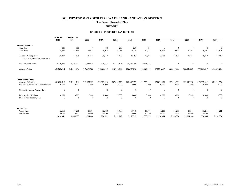#### **SOUTHWEST METROPOLITAN WATER AND SANITATION DISTRICT Ten Year Financial Plan 2022-2031**

#### **EXHIBIT 1 PROPERTY TAX REVENUE**

|                                                                                        | <b>ACTUAL</b><br><b>ESTIMATED</b> |                      |                      |                      |                      |                      |                      |                      |                      |                      |                      |                      |
|----------------------------------------------------------------------------------------|-----------------------------------|----------------------|----------------------|----------------------|----------------------|----------------------|----------------------|----------------------|----------------------|----------------------|----------------------|----------------------|
|                                                                                        | 2020                              | 2021                 | 2022                 | 2023                 | 2024                 | 2025                 | 2026                 | 2027                 | 2028                 | 2029                 | 2030                 | 2031                 |
| <b>Assessed Valuation</b>                                                              |                                   |                      |                      |                      |                      |                      |                      |                      |                      |                      |                      |                      |
| Taps Sold                                                                              | 115                               | 105                  | 67                   | 50                   | 250                  | 250                  | 213                  | $\overline{0}$       | $\theta$             | $\mathbf{0}$         | $\overline{0}$       | $\mathbf{0}$         |
| <b>Total Taps</b>                                                                      | 18,751                            | 18,866               | 18,971               | 19,038               | 19,088               | 19,338               | 19,588               | 19,801               | 19,801               | 19,801               | 19,801               | 19,801               |
| Assessed Value per Tap<br>$(5\% - 2024, +6\%$ every even year)                         | 36,319                            | 36,128               | 39,517               | 39,517               | 41,493               | 41,493               | 43,982               | 43,982               | 46,621               | 46,621               | 49,419               | 49,419               |
| New Assessed Value                                                                     | 4,176,703                         | 3,793,490            | 2,647,635            | 1,975,847            | 10,373,198           | 10,373,198           | 9,368,242            | $\overline{0}$       | $\mathbf{0}$         | $\mathbf{0}$         | $\overline{0}$       | $\Omega$             |
| Assessed Value                                                                         | 681,020,512                       | 681,599,749          | 749,675,923          | 752,323,558          | 792,014,376          | 802,387,573          | 861,526,417          | 870,894,659          | 923,148,338          | 923,148,338          | 978,537,239          | 978,537,239          |
| <b>General Operations</b><br>Assessed Valuation<br>General Operating Mill Levy+Abateme | 681,020,512<br>0.000              | 681,599,749<br>0.000 | 749,675,923<br>0.000 | 752,323,558<br>0.000 | 792,014,376<br>0.000 | 802,387,573<br>0.000 | 861,526,417<br>0.000 | 870,894,659<br>0.000 | 923,148,338<br>0.000 | 923,148,338<br>0.000 | 978,537,239<br>0.000 | 978,537,239<br>0.000 |
| General Operating Property Tax                                                         | $\mathbf{0}$                      | $\mathbf{0}$         | $\mathbf{0}$         | $\mathbf{0}$         | $\boldsymbol{0}$     | $\mathbf{0}$         | $\bf{0}$             | $\overline{0}$       | $\mathbf{0}$         | $\mathbf{0}$         | $\overline{0}$       | $\Omega$             |
| Debt Service Mill Levy                                                                 | 0.000                             | 0.000                | 0.000                | 0.000                | 0.000                | 0.000                | 0.000                | 0.000                | 0.000                | 0.000                | 0.000                | 0.000                |
| Debt Service Property Tax                                                              | $\theta$                          | $\bf{0}$             | $\theta$             | $\Omega$             | $\mathbf{0}$         | $\Omega$             | $\bf{0}$             | $\theta$             | $\Omega$             | $\mathbf{0}$         | $\mathbf{0}$         | $\mathbf{0}$         |
| <b>Service Fees</b>                                                                    |                                   |                      |                      |                      |                      |                      |                      |                      |                      |                      |                      |                      |
| Water Taps                                                                             | 15,161                            | 15,276               | 15,381               | 15,448               | 15,498               | 15,748               | 15,998               | 16,211               | 16,211               | 16,211               | 16,211               | 16,211               |
| Service Fee                                                                            | 96.00                             | 96.00                | 144.00               | 144.00               | 144.00               | 144.00               | 144.00               | 144.00               | 144.00               | 144.00               | 144.00               | 144.00               |
|                                                                                        | 1,458,841                         | 1,466,500            | 2,214,860            | 2,224,512            | 2,231,712            | 2,267,712            | 2,303,712            | 2,334,384            | 2,334,384            | 2,334,384            | 2,334,384            | 2,334,384            |